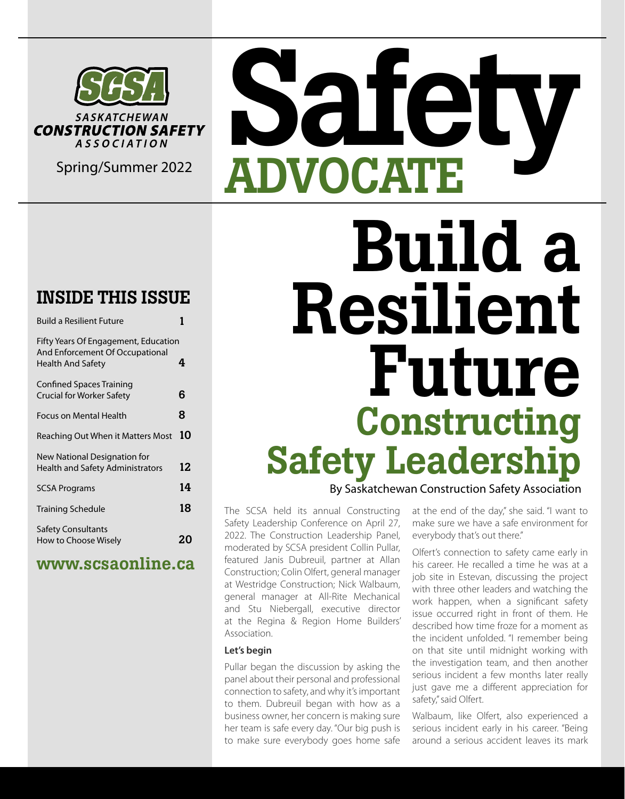

### INSIDE THIS ISSUE

| <b>Build a Resilient Future</b>                                                              |    |
|----------------------------------------------------------------------------------------------|----|
| Fifty Years Of Engagement, Education<br>And Enforcement Of Occupational<br>Health And Safety | 4  |
| <b>Confined Spaces Training</b><br>Crucial for Worker Safety                                 | 6  |
| Focus on Mental Health                                                                       | 8  |
| Reaching Out When it Matters Most                                                            | 10 |
| New National Designation for<br><b>Health and Safety Administrators</b>                      | 12 |
| <b>SCSA Programs</b>                                                                         | 14 |
| <b>Training Schedule</b>                                                                     | 18 |
| <b>Safety Consultants</b><br>How to Choose Wisely                                            | 20 |

### www.scsaonline.ca

## Safety Spring/Summer 2022 ADVOCATE Build a Resilient Future Constructing Safety Leadership By Saskatchewan Construction Safety Association

The SCSA held its annual Constructing Safety Leadership Conference on April 27, 2022. The Construction Leadership Panel, moderated by SCSA president Collin Pullar, featured Janis Dubreuil, partner at Allan Construction; Colin Olfert, general manager at Westridge Construction; Nick Walbaum, general manager at All-Rite Mechanical and Stu Niebergall, executive director at the Regina & Region Home Builders' Association.

### **Let's begin**

Pullar began the discussion by asking the panel about their personal and professional connection to safety, and why it's important to them. Dubreuil began with how as a business owner, her concern is making sure her team is safe every day. "Our big push is to make sure everybody goes home safe at the end of the day," she said. "I want to make sure we have a safe environment for everybody that's out there."

Olfert's connection to safety came early in his career. He recalled a time he was at a job site in Estevan, discussing the project with three other leaders and watching the work happen, when a significant safety issue occurred right in front of them. He described how time froze for a moment as the incident unfolded. "I remember being on that site until midnight working with the investigation team, and then another serious incident a few months later really just gave me a different appreciation for safety," said Olfert.

Walbaum, like Olfert, also experienced a serious incident early in his career. "Being around a serious accident leaves its mark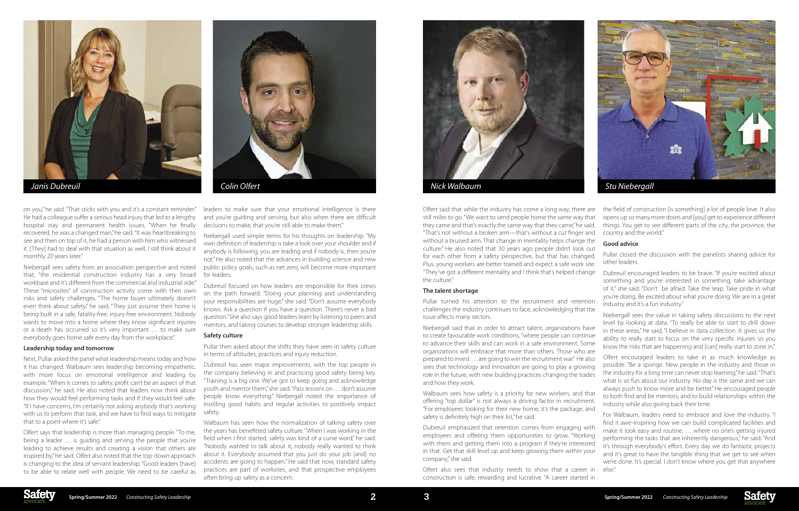







on you," he said. "That sticks with you and it's a constant reminder." He had a colleague suffer a serious head injury that led to a lengthy hospital stay and permanent health issues. "When he finally recovered, he was a changed man," he said. "It was heartbreaking to see and then on top of it, he had a person with him who witnessed it. [They] had to deal with that situation as well. I still think about it monthly 20 years later."

Niebergall sees safety from an association perspective and noted that, "the residential construction industry has a very broad workbase and it's different from the commercial and industrial side." These "microsites" of construction activity come with their own risks and safety challenges. "The home buyer ultimately doesn't even think about safety," he said. "They just assume their home is being built in a safe, fatality-free, injury-free environment. Nobody wants to move into a home where they know significant injuries or a death has occurred so it's very important … to make sure everybody goes home safe every day from the workplace."

#### **Leadership today and tomorrow**

Next, Pullar asked the panel what leadership means today and how it has changed. Walbaum sees leadership becoming empathetic, with more focus on emotional intelligence and leading by example. "When it comes to safety, profit can't be an aspect of that discussion," he said. He also noted that leaders now think about how they would feel performing tasks and if they would feel safe. "If I have concerns, I'm certainly not asking anybody that's working with us to perform that task, and we have to find ways to mitigate that to a point where it's safe."

Olfert says that leadership is more than managing people. "To me, being a leader … is guiding and serving the people that you're leading to achieve results and creating a vision that others are inspired by," he said. Olfert also noted that the top-down approach is changing to the idea of servant leadership. "Good leaders [have] to be able to relate well with people. We need to be careful as

leaders to make sure that your emotional intelligence is there and you're guiding and serving, but also when there are difficult decisions to make, that you're still able to make them."

Niebergall used simple terms for his thoughts on leadership. "My own definition of leadership is take a look over your shoulder and if anybody is following, you are leading and if nobody is, then you're not." He also noted that the advances in building science and new public policy goals, such as net zero, will become more important for leaders.

Dubreuil focused on how leaders are responsible for their crews on the path forward. "Doing your planning and understanding your responsibilities are huge," she said. "Don't assume everybody knows. Ask a question if you have a question. There's never a bad question." She also says good leaders learn by listening to peers and mentors, and taking courses to develop stronger leadership skills.

#### **Safety culture**

Pullar then asked about the shifts they have seen in safety culture in terms of attitudes, practices and injury reduction.

something and you're interested in something, take advantage of it," she said. "Don't be afraid. Take the leap. Take pride in what you're doing. Be excited about what you're doing. We are in a great industry and it's a fun industry."

Dubreuil has seen major improvements, with the top people in the company believing in and practicing good safety being key. "Training is a big one. We've got to keep going and acknowledge youth and mentor them," she said. "Pass lessons on … don't assume people know everything." Niebergall noted the importance of instilling good habits and regular activities to positively impact safety.

Walbaum has seen how the normalization of talking safety over the years has benefitted safety culture. "When I was working in the field when I first started, safety was kind of a curse word," he said. "Nobody wanted to talk about it, nobody really wanted to think about it. Everybody assumed that you just do your job [and] no accidents are going to happen." He said that now, standard safety practices are part of worksites, and that prospective employees often bring up safety as a concern.

#### **The talent shortage**

Pullar turned his attention to the recruitment and retention challenges the industry continues to face, acknowledging that the issue affects many sectors.

Niebergall said that in order to attract talent, organizations have to create favourable work conditions, "where people can continue to advance their skills and can work in a safe environment. Some organizations will embrace that more than others. Those who are prepared to invest … are going to win the recruitment war." He also sees that technology and innovation are going to play a growing role in the future, with new building practices changing the trades and how they work.

Olfert said that while the industry has come a long way, there are still miles to go. "We want to send people home the same way that they came and that's exactly the same way that they came," he said. "That's not without a broken arm—that's without a cut finger and without a bruised arm. That change in mentality helps change the culture." He also noted that 30 years ago people didn't look out for each other from a safety perspective, but that has changed. Plus, young workers are better trained and expect a safe work site. "They've got a different mentality and I think that's helped change the culture." the field of construction [is something] a lot of people love. It also opens up so many more doors and [you] get to experience different things. You get to see different parts of the city, the province, the country and the world." **Good advice** Pullar closed the discussion with the panelists sharing advice for other leaders. Dubreuil encouraged leaders to be brave. "If you're excited about

Walbaum sees how safety is a priority for new workers, and that offering "top dollar" is not always a driving factor in recruitment. "For employees looking for their new home, it's the package, and safety is definitely high on their list," he said.

construction is safe, rewarding and lucrative. "A career started in

Dubreuil emphasized that retention comes from engaging with employees and offering them opportunities to grow. "Working with them and getting them into a program if they're interested in that. Get that skill level up and keep growing them within your company," she said. Olfert also sees that industry needs to show that a career in For Walbaum, leaders need to embrace and love the industry. "I find it awe-inspiring how we can build complicated facilities and make it look easy and routine, … where no one's getting injured performing the tasks that are inherently dangerous," he said. "And it's through everybody's effort. Every day we do fantastic projects and it's great to have the tangible thing that we get to see when we're done. It's special. I don't know where you get that anywhere else."

Niebergall sees the value in taking safety discussions to the next level by looking at data. "To really be able to start to drill down in these areas," he said, "I believe in data collection. It gives us the ability to really start to focus on the very specific injuries so you know the risks that are happening and [can] really start to zone in."

Olfert encouraged leaders to take in as much knowledge as possible. "Be a sponge. New people in the industry and those in the industry for a long time can never stop learning," he said. "That's what is so fun about our industry. No day is the same and we can always push to know more and be better." He encouraged people to both find and be mentors, and to build relationships within the industry while also giving back their time.

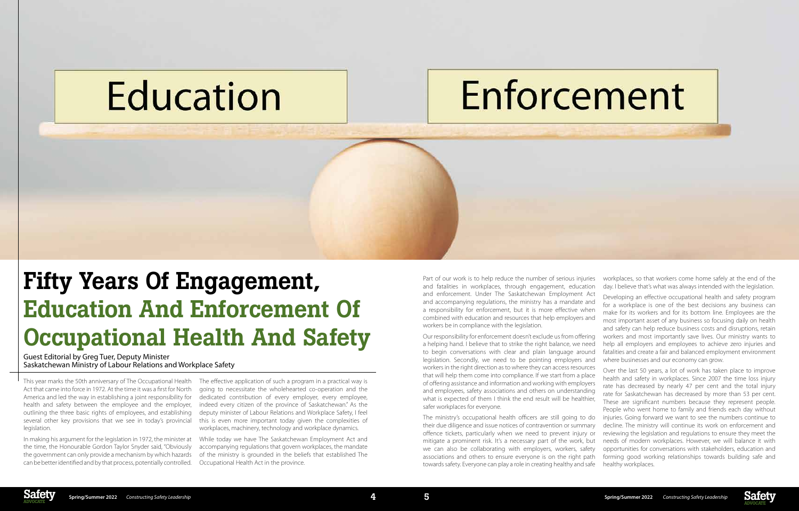## Education

# Enforcement



## Fifty Years Of Engagement, Education And Enforcement Of Occupational Health And Safety

Guest Editorial by Greg Tuer, Deputy Minister Saskatchewan Ministry of Labour Relations and Workplace Safety

This year marks the 50th anniversary of The Occupational Health Act that came into force in 1972. At the time it was a first for North America and led the way in establishing a joint responsibility for health and safety between the employee and the employer, outlining the three basic rights of employees, and establishing several other key provisions that we see in today's provincial legislation.

In making his argument for the legislation in 1972, the minister at the time, the Honourable Gordon Taylor Snyder said, "Obviously the government can only provide a mechanism by which hazards can be better identified and by that process, potentially controlled.

The effective application of such a program in a practical way is going to necessitate the wholehearted co-operation and the dedicated contribution of every employer, every employee, indeed every citizen of the province of Saskatchewan." As the deputy minister of Labour Relations and Workplace Safety, I feel this is even more important today given the complexities of workplaces, machinery, technology and workplace dynamics.

While today we have The Saskatchewan Employment Act and accompanying regulations that govern workplaces, the mandate of the ministry is grounded in the beliefs that established The Occupational Health Act in the province.

Part of our work is to help reduce the number of serious injuries and fatalities in workplaces, through engagement, education and enforcement. Under The Saskatchewan Employment Act and accompanying regulations, the ministry has a mandate and a responsibility for enforcement, but it is more effective when combined with education and resources that help employers and workers be in compliance with the legislation.

Our responsibility for enforcement doesn't exclude us from offering a helping hand. I believe that to strike the right balance, we need to begin conversations with clear and plain language around legislation. Secondly, we need to be pointing employers and workers in the right direction as to where they can access resources safer workplaces for everyone.

workplaces, so that workers come home safely at the end of the day. I believe that's what was always intended with the legislation.

that will help them come into compliance. If we start from a place of offering assistance and information and working with employers and employees, safety associations and others on understanding what is expected of them I think the end result will be healthier, The ministry's occupational health officers are still going to do their due diligence and issue notices of contravention or summary offence tickets, particularly when we need to prevent injury or mitigate a prominent risk. It's a necessary part of the work, but we can also be collaborating with employers, workers, safety associations and others to ensure everyone is on the right path towards safety. Everyone can play a role in creating healthy and safe Over the last 50 years, a lot of work has taken place to improve health and safety in workplaces. Since 2007 the time loss injury rate has decreased by nearly 47 per cent and the total injury rate for Saskatchewan has decreased by more than 53 per cent. These are significant numbers because they represent people. People who went home to family and friends each day without injuries. Going forward we want to see the numbers continue to decline. The ministry will continue its work on enforcement and reviewing the legislation and regulations to ensure they meet the needs of modern workplaces. However, we will balance it with opportunities for conversations with stakeholders, education and forming good working relationships towards building safe and healthy workplaces.



Developing an effective occupational health and safety program for a workplace is one of the best decisions any business can make for its workers and for its bottom line. Employees are the most important asset of any business so focusing daily on health and safety can help reduce business costs and disruptions, retain workers and most importantly save lives. Our ministry wants to help all employers and employees to achieve zero injuries and fatalities and create a fair and balanced employment environment where businesses and our economy can grow.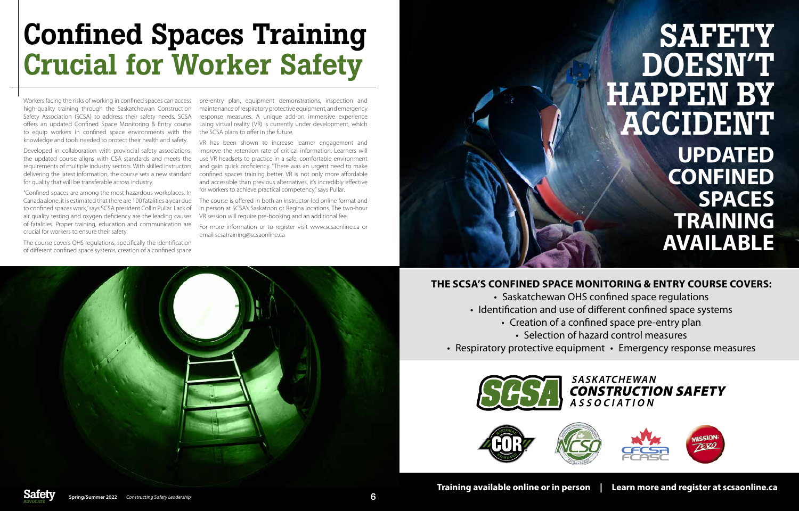Workers facing the risks of working in confined spaces can access high-quality training through the Saskatchewan Construction Safety Association (SCSA) to address their safety needs. SCSA offers an updated Confined Space Monitoring & Entry course to equip workers in confined space environments with the the SCSA plans to offer in the future. knowledge and tools needed to protect their health and safety.

Developed in collaboration with provincial safety associations, the updated course aligns with CSA standards and meets the requirements of multiple industry sectors. With skilled instructors delivering the latest information, the course sets a new standard for quality that will be transferable across industry.

"Confined spaces are among the most hazardous workplaces. In Canada alone, it is estimated that there are 100 fatalities a year due to confined spaces work," says SCSA president Collin Pullar. Lack of air quality testing and oxygen deficiency are the leading causes of fatalities. Proper training, education and communication are crucial for workers to ensure their safety.

> • Saskatchewan OHS confined space regulations • Identification and use of different confined space systems • Creation of a confined space pre-entry plan • Selection of hazard control measures • Respiratory protective equipment • Emergency response measures

### **SASKATCHEWAN CONSTRUCTION SAFETY** *ASSOCIATION*



The course covers OHS regulations, specifically the identification of different confined space systems, creation of a confined space

## **SAFETY** DOESN'T HAPPEN BY ACCIDENT **UPDATED CONFINED SPACES TRAINING AVAILABLE**

pre-entry plan, equipment demonstrations, inspection and maintenance of respiratory protective equipment, and emergency response measures. A unique add-on immersive experience using virtual reality (VR) is currently under development, which

VR has been shown to increase learner engagement and improve the retention rate of critical information. Learners will use VR headsets to practice in a safe, comfortable environment and gain quick proficiency. "There was an urgent need to make confined spaces training better. VR is not only more affordable and accessible than previous alternatives, it's incredibly effective for workers to achieve practical competency," says Pullar.

The course is offered in both an instructor-led online format and in person at SCSA's Saskatoon or Regina locations. The two-hour VR session will require pre-booking and an additional fee.

For more information or to register visit www.scsaonline.ca or email scsatraining@scsaonline.ca



## Confined Spaces Training Crucial for Worker Safety

### **THE SCSA'S CONFINED SPACE MONITORING & ENTRY COURSE COVERS:**

- 
- - -
- 







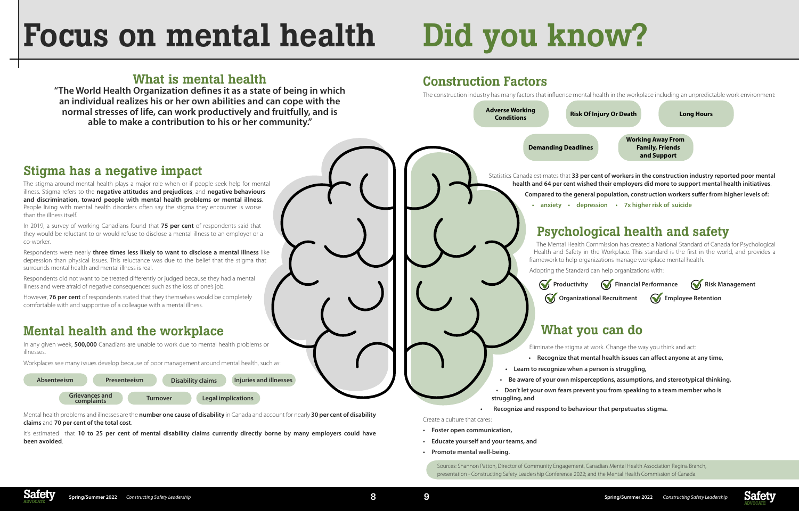



- 
- 
- 
- 

### Stigma has a negative impact

The stigma around mental health plays a major role when or if people seek help for mental illness. Stigma refers to the **negative attitudes and prejudices**, and **negative behaviours and discrimination, toward people with mental health problems or mental illness**. People living with mental health disorders often say the stigma they encounter is worse than the illness itself.

In 2019, a survey of working Canadians found that **75 per cent** of respondents said that they would be reluctant to or would refuse to disclose a mental illness to an employer or a co-worker.

Respondents were nearly **three times less likely to want to disclose a mental illness** like depression than physical issues. This reluctance was due to the belief that the stigma that surrounds mental health and mental illness is real.

Respondents did not want to be treated differently or judged because they had a mental illness and were afraid of negative consequences such as the loss of one's job.

However, **76 per cent** of respondents stated that they themselves would be completely comfortable with and supportive of a colleague with a mental illness.

### Mental health and the workplace

In any given week, **500,000** Canadians are unable to work due to mental health problems or illnesses.

Workplaces see many issues develop because of poor management around mental health, such as:

Mental health problems and illnesses are the **number one cause of disability** in Canada and account for nearly **30 per cent of disability claims** and **70 per cent of the total cost**.

It's estimated that **10 to 25 per cent of mental disability claims currently directly borne by many employers could have been avoided**.

### Construction Factors

The construction industry has many factors that influence mental health in the workplace including an unpredictable work environment:

## Focus on mental health

### What is mental health

**"The World Health Organization defines it as a state of being in which an individual realizes his or her own abilities and can cope with the normal stresses of life, can work productively and fruitfully, and is able to make a contribution to his or her community."**



# Did you know?

**Absenteeism Presenteeism Disability claims Injuries and illnesses**

**Grievances and** 

**complaints Turnover Legal implications**

Sources: Shannon Patton, Director of Community Engagement, Canadian Mental Health Association Regina Branch, presentation - Constructing Safety Leadership Conference 2022; and the Mental Health Commission of Canada.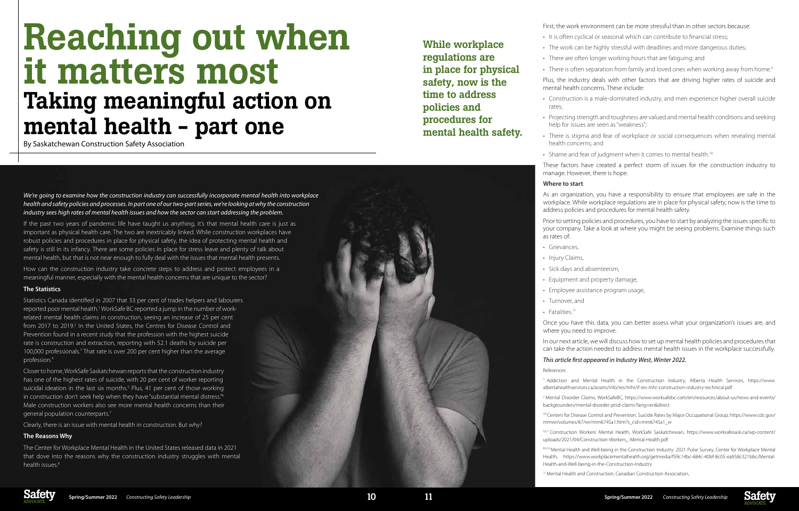

## Reaching out when it matters most Taking meaningful action on mental health - part one

By Saskatchewan Construction Safety Association

*We're going to examine how the construction industry can successfully incorporate mental health into workplace health and safety policies and processes. In part one of our two-part series, we're looking at why the construction industry sees high rates of mental health issues and how the sector can start addressing the problem.*

If the past two years of pandemic life have taught us anything, it's that mental health care is just as important as physical health care. The two are inextricably linked. While construction workplaces have robust policies and procedures in place for physical safety, the idea of protecting mental health and safety is still in its infancy. There are some policies in place for stress leave and plenty of talk about mental health, but that is not near enough to fully deal with the issues that mental health presents.

The Center for Workplace Mental Health in the United States released data in 2021 that dove into the reasons why the construction industry struggles with mental health issues.<sup>8</sup>

How can the construction industry take concrete steps to address and protect employees in a meaningful manner, especially with the mental health concerns that are unique to the sector?

### **The Statistics**

- rates;
- 
- There is stigma and fear of workplace or social consequences when revealing mental health concerns; and
- Shame and fear of judgment when it comes to mental health.<sup>10</sup>

Statistics Canada identified in 2007 that 33 per cent of trades helpers and labourers reported poor mental health.<sup>1</sup> WorkSafe BC reported a jump in the number of workrelated mental health claims in construction, seeing an increase of 25 per cent from 2017 to 2019.<sup>2</sup> In the United States, the Centres for Disease Control and Prevention found in a recent study that the profession with the highest suicide rate is construction and extraction, reporting with 52.1 deaths by suicide per 100,000 professionals.<sup>3</sup> That rate is over 200 per cent higher than the average profession.4

- Grievances,
- Injury Claims,
- Sick days and absenteeism,
- Equipment and property damage,
- 
- Turnover, and
- $\cdot$  Fatalities.<sup>11</sup>
- Employee assistance program usage,
- Once you have this data, you can better assess what your organization's issues are, and
- In our next article, we will discuss how to set up mental health policies and procedures that can take the action needed to address mental health issues in the workplace successfully.
- 1 Addiction and Mental Health in the Construction Industry, Alberta Health Services, https://www. albertahealthservices.ca/assets/info/res/mhr/if-res-mhr-construction-industry-technical.pdf
- 2 Mental Disorder Claims, WorkSafeBC, https://www.worksafebc.com/en/resources/about-us/news-and-events/ backgrounders/mental-disorder-ptsd-claims?lang=en&direct
- 3,4 Centers for Disease Control and Prevention, Suicide Rates by Major Occupational Group, https://www.cdc.gov/ mmwr/volumes/67/wr/mm6745a1.htm?s\_cid=mm6745a1\_w
- 5,6,7 Construction Workers' Mental Health, WorkSafe Saskatchewan, https://www.worksafesask.ca/wp-content/ uploads/2021/04/Construction-Workers\_-Mental-Health.pdf
- 8,9,10 Mental Health and Well-being in the Construction Industry: 2021 Pulse Survey, Center for Workplace Mental Health, https://www.workplacementalhealth.org/getmedia/f59c14bc-684c-40bf-8c05-ea958c321bbc/Mental-Health-and-Well-being-in-the-Construction-Industry
- <sup>11</sup> Mental Health and Construction, Canadian Construction Association,

Closer to home, WorkSafe Saskatchewan reports that the construction industry has one of the highest rates of suicide, with 20 per cent of worker reporting suicidal ideation in the last six months.<sup>5</sup> Plus, 41 per cent of those working in construction don't seek help when they have "substantial mental distress."6 Male construction workers also see more mental health concerns than their general population counterparts.7

Clearly, there is an issue with mental health in construction. But why?

#### **The Reasons Why**

- It is often cyclical or seasonal which can contribute to financial stress;
- The work can be highly stressful with deadlines and more dangerous duties;
- There are often longer working hours that are fatiguing; and

- First, the work environment can be more stressful than in other sectors because:
- There is often separation from family and loved ones when working away from home.<sup>9</sup>
- Plus, the industry deals with other factors that are driving higher rates of suicide and mental health concerns. These include:
- Construction is a male-dominated industry, and men experience higher overall suicide
- Projecting strength and toughness are valued and mental health conditions and seeking help for issues are seen as "weakness";
- These factors have created a perfect storm of issues for the construction industry to
- As an organization, you have a responsibility to ensure that employees are safe in the workplace. While workplace regulations are in place for physical safety, now is the time to address policies and procedures for mental health safety.
- Prior to setting policies and procedures, you have to start by analyzing the issues specific to your company. Take a look at where you might be seeing problems. Examine things such

manage. However, there is hope.

#### **Where to start**

as rates of:

where you need to improve.

### *This article first appeared in Industry West, Winter 2022.*

References

While workplace regulations are in place for physical safety, now is the time to address policies and procedures for mental health safety.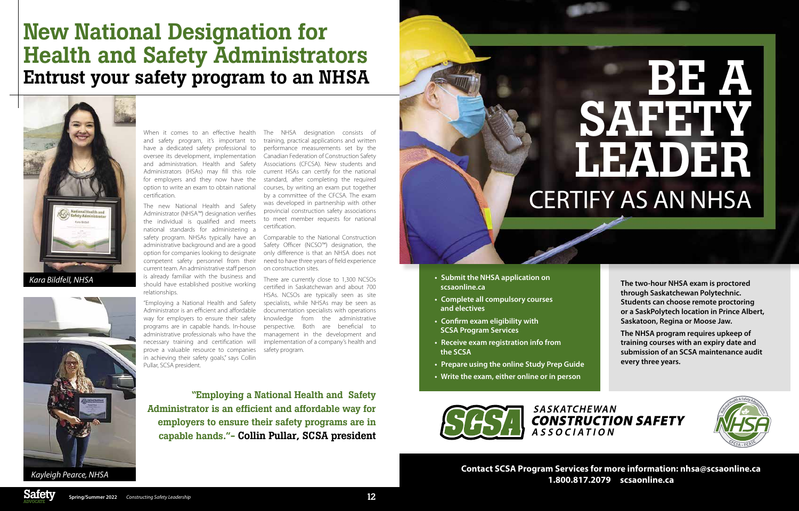When it comes to an effective health and safety program, it's important to have a dedicated safety professional to oversee its development, implementation and administration. Health and Safety Administrators (HSAs) may fill this role for employers and they now have the option to write an exam to obtain national certification.

The new National Health and Safety Administrator (NHSA™) designation verifies the individual is qualified and meets national standards for administering a safety program. NHSAs typically have an administrative background and are a good option for companies looking to designate competent safety personnel from their current team. An administrative staff person is already familiar with the business and should have established positive working relationships.

"Employing a National Health and Safety Administrator is an efficient and affordable way for employers to ensure their safety programs are in capable hands. In-house administrative professionals who have the necessary training and certification will prove a valuable resource to companies in achieving their safety goals," says Collin Pullar, SCSA president.

The NHSA designation consists of training, practical applications and written performance measurements set by the Canadian Federation of Construction Safety Associations (CFCSA). New students and current HSAs can certify for the national standard, after completing the required courses, by writing an exam put together by a committee of the CFCSA. The exam was developed in partnership with other provincial construction safety associations to meet member requests for national certification.

# **BEAT AN** SAFETY. LEADER CERTIFY AS AN NHSA

Comparable to the National Construction Safety Officer (NCSO™) designation, the only difference is that an NHSA does not need to have three years of field experience on construction sites.

There are currently close to 1,300 NCSOs certified in Saskatchewan and about 700 HSAs. NCSOs are typically seen as site specialists, while NHSAs may be seen as documentation specialists with operations knowledge from the administrative perspective. Both are beneficial to management in the development and implementation of a company's health and safety program.

### New National Designation for Health and Safety Administrators Entrust your safety program to an NHSA



"Employing a National Health and Safety Administrator is an efficient and affordable way for employers to ensure their safety programs are in capable hands."- Collin Pullar, SCSA president **• Submit the NHSA application on scsaonline.ca • Complete all compulsory courses** 

- **and electives • Confirm exam eligibility with**
- **SCSA Program Services**
- **• Receive exam registration info from the SCSA**
- **• Prepare using the online Study Prep Guide**
- **• Write the exam, either online or in person**



**The two-hour NHSA exam is proctored through Saskatchewan Polytechnic. Students can choose remote proctoring or a SaskPolytech location in Prince Albert, Saskatoon, Regina or Moose Jaw.** 

**The NHSA program requires upkeep of training courses with an expiry date and submission of an SCSA maintenance audit every three years.**





**Contact SCSA Program Services for more information: nhsa@scsaonline.ca 1.800.817.2079 [scsaonline.ca](https://scsaonline.ca/)**

*Kara Bildfell, NHSA*



*Kayleigh Pearce, NHSA*

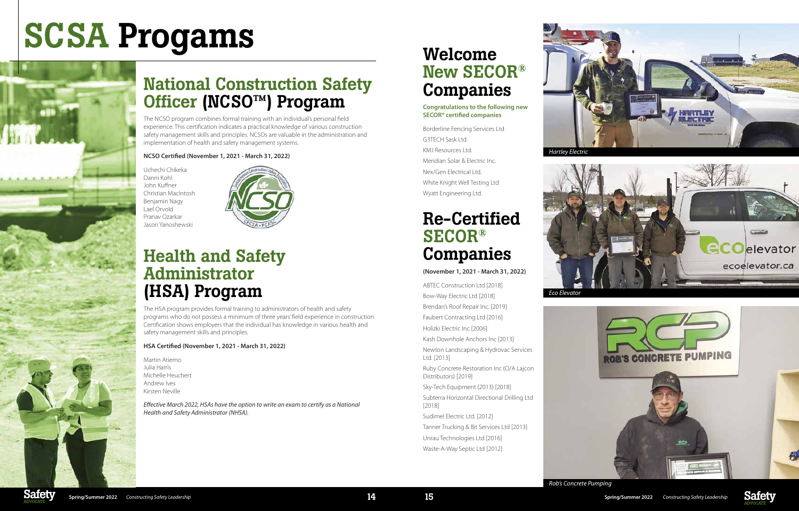

### National Construction Safety Officer (NCSO™) Program

The NCSO program combines formal training with an individual's personal field experience. This certification indicates a practical knowledge of various construction safety management skills and principles. NCSOs are valuable in the administration and implementation of health and safety management systems.

### **NCSO Certified (November 1, 2021 - March 31, 2022)**

Uchechi Chikeka Danni Kohl John Kuffner Christian MacIntosh Benjamin Nagy Lael Orvold Pranav Ozarkar Jason Yanoshewski



### Health and Safety Administrator (HSA) Program

The HSA program provides formal training to administrators of health and safety programs who do not possess a minimum of three years' field experience in construction. Certification shows employers that the individual has knowledge in various health and safety management skills and principles.

### **HSA Certified (November 1, 2021 - March 31, 2022)**

Martin Atiemo Julia Harris Michelle Heuchert Andrew Ives Kirsten Neville

*Effective March 2022, HSAs have the option to write an exam to certify as a National Health and Safety Administrator (NHSA).*

### Welcome New SECOR® Companies

### **Congratulations to the following new SECOR® certified companies**

Borderline Fencing Services Ltd G3TECH Sask Ltd. KMJ Resources Ltd. Meridian Solar & Electric Inc. Nex/Gen Electrical Ltd. White Knight Well Testing Ltd Wyatt Engineering Ltd.

### Re-Certified SECOR® Companies

### **(November 1, 2021 - March 31, 2022)**

ABTEC Construction Ltd [2018] Bow-Way Electric Ltd [2018] Brendan's Roof Repair Inc. [2019] Faubert Contracting Ltd [2016] Holizki Electric Inc [2006] Kash Downhole Anchors Inc [2013] Newton Landscaping & Hydrovac Services Ltd. [2013] Ruby Concrete Restoration Inc (O/A Lajcon Distributors) [2019] Sky-Tech Equipment (2013) [2018] Subterra Horizontal Directional Drilling Ltd [2018]

Sudimel Electric Ltd. [2012]

Tanner Trucking & Bit Services Ltd [2013] Unrau Technologies Ltd [2016]

Waste-A-Way Septic Ltd [2012]



# SCSA Progams







*Eco Elevator*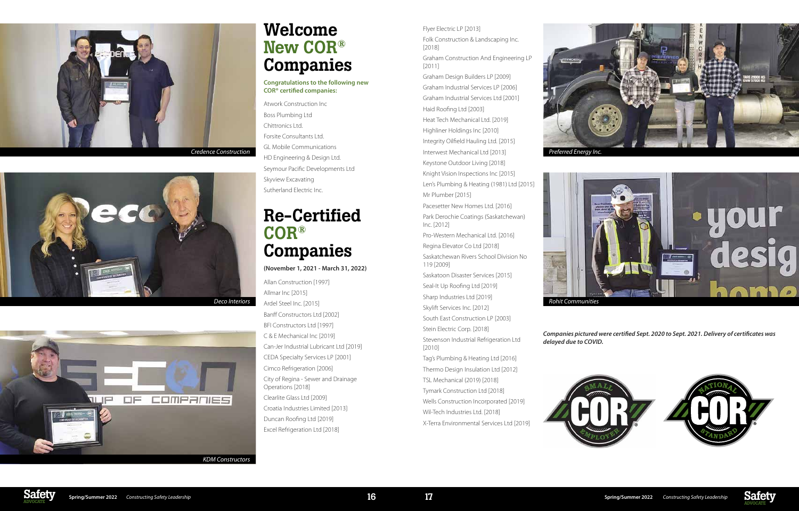

### Welcome New COR® Companies

#### **Congratulations to the following new COR® certified companies:**

Atwork Construction Inc Boss Plumbing Ltd Chittronics Ltd. Forsite Consultants Ltd. GL Mobile Communications HD Engineering & Design Ltd. Seymour Pacific Developments Ltd Skyview Excavating Sutherland Electric Inc.

### Re-Certified COR® Companies

**(November 1, 2021 - March 31, 2022)**

Allan Construction [1997] Allmar Inc [2015] Ardel Steel Inc. [2015] *Deco Interiors Rohit Communities* Banff Constructors Ltd [2002] BFI Constructors Ltd [1997] C & E Mechanical Inc [2019] Can-Jer Industrial Lubricant Ltd [2019] CEDA Specialty Services LP [2001] Cimco Refrigeration [2006] City of Regina - Sewer and Drainage Operations [2018] Clearlite Glass Ltd [2009] Croatia Industries Limited [2013] Duncan Roofing Ltd [2019]

Excel Refrigeration Ltd [2018]







### Flyer Electric LP [2013]

Folk Construction & Landscaping Inc. [2018]

Graham Construction And Engineering LP [2011]

*Credence Construction Preferred Energy Inc.* Interwest Mechanical Ltd [2013] Highliner Holdings Inc [2010] Integrity Oilfield Hauling Ltd. [2015] Keystone Outdoor Living [2018] Knight Vision Inspections Inc [2015] Len's Plumbing & Heating (1981) Ltd [2015]

Graham Design Builders LP [2009] Graham Industrial Services LP [2006] Graham Industrial Services Ltd [2001] Haid Roofing Ltd [2003] Heat Tech Mechanical Ltd. [2019]

Mr Plumber [2015]

Pacesetter New Homes Ltd. [2016] Park Derochie Coatings (Saskatchewan) Inc. [2012]

Pro-Western Mechanical Ltd. [2016] Regina Elevator Co Ltd [2018]

Saskatchewan Rivers School Division No 119 [2009]

Saskatoon Disaster Services [2015] Seal-It Up Roofing Ltd [2019] Sharp Industries Ltd [2019] Skylift Services Inc. [2012] South East Construction LP [2003] Stein Electric Corp. [2018] Stevenson Industrial Refrigeration Ltd [2010]

Tag's Plumbing & Heating Ltd [2016] Thermo Design Insulation Ltd [2012] TSL Mechanical (2019) [2018] Tymark Construction Ltd [2018] Wells Construction Incorporated [2019] Wil-Tech Industries Ltd. [2018] X-Terra Environmental Services Ltd [2019]



*Companies pictured were certified Sept. 2020 to Sept. 2021. Delivery of certificates was* 



*delayed due to COVID.*



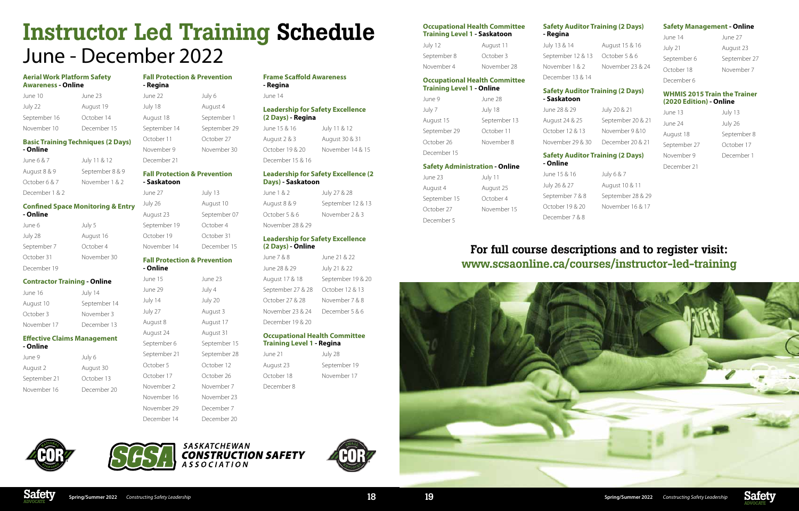

### **Aerial Work Platform Safety Awareness - Online**

| June 10      | June 23     |
|--------------|-------------|
| July 22      | August 19   |
| September 16 | October 14  |
| November 10  | December 15 |

### **Basic Training Techniques (2 Days) - Online**

| June 6 & 7     | July 11 & 12    |
|----------------|-----------------|
| August 8 & 9   | September 8 & 9 |
| October 6 & 7  | November 1 & 2  |
| December 1 & 2 |                 |

### **Confined Space Monitoring & Entry - Online**

| June 6      | July 5      |
|-------------|-------------|
| July 28     | August 16   |
| September 7 | October 4   |
| October 31  | November 30 |
| December 19 |             |

### **Contractor Training - Online**

| June 16     | July 14      |
|-------------|--------------|
| August 10   | September 14 |
| October 3   | November 3   |
| November 17 | December 13  |

### **Effective Claims Management**

- **Online**
- June 9 July 6 August 2 August 30 September 21 October 13 November 16 December 20

| <b>Fall Protection &amp; Prevention</b><br>- Regina |              |
|-----------------------------------------------------|--------------|
| June 22                                             | July 6       |
| July 18                                             | August 4     |
| August 18                                           | September 1  |
| September 14                                        | September 29 |
| October 11                                          | October 27   |
| November 9                                          | November 30  |
| December 21                                         |              |

#### **Fall Protection & Prevention - Saskatoon**

| - SASKALOON  |              |
|--------------|--------------|
| June 27      | July 13      |
| July 26      | August 10    |
| August 23    | September 07 |
| September 19 | October 4    |
| October 19   | October 31   |
| November 14  | December 15  |
|              |              |

June 21 August 23 October 18 December 8

| July 28      |
|--------------|
| September 19 |
| November 17  |

#### **Fall Protection & Prevention - Online**

| - Unune      |              |
|--------------|--------------|
| June 15      | June 23      |
| June 29      | July 4       |
| July 14      | July 20      |
| July 27      | August 3     |
| August 8     | August 17    |
| August 24    | August 31    |
| September 6  | September 15 |
| September 21 | September 28 |
| October 5    | October 12   |
| October 17   | October 26   |
| November 2   | November 7   |
| November 16  | November 23  |
| November 29  | December 7   |
| December 14  | December 20  |

### **Frame Scaffold Awareness - Regina**

June 14

### **Leadership for Safety Excellence (2 Days) - Regina**

September 7 & 8 September 28 & 29 October 19 & 20 November 16 & 17

| June 15 & 16     | July 11 & 12     |
|------------------|------------------|
| August 2 & 3     | August 30 & 31   |
| October 19 & 20  | November 14 & 15 |
| December 15 & 16 |                  |

### **Leadership for Safety Excellence (2 Days) - Saskatoon**

| June 1 & 2       | July 27 & 28      |
|------------------|-------------------|
| August 8 & 9     | September 12 & 13 |
| October 5 & 6    | November 2 & 3    |
| November 28 & 29 |                   |

### **Leadership for Safety Excellence (2 Days) - Online**

| June 7 & 8        | June 21 & 22      |
|-------------------|-------------------|
| June 28 & 29      | July 21 & 22      |
| August 17 & 18    | September 19 & 20 |
| September 27 & 28 | October 12 & 13   |
| October 27 & 28   | November 7 & 8    |
| November 23 & 24  | December 5 & 6    |
| December 19 & 20  |                   |
|                   |                   |

#### **Occupational Health Committee Training Level 1 - Regina**

## Instructor Led Training Schedule June - December 2022

**Occupational Health Committee Training Level 1 - Saskatoon**

| July 12     | August 11   |
|-------------|-------------|
| September 8 | October 3   |
| November 4  | November 28 |

### **Occupational Health Committee Training Level 1 - Online**

| June 9       | June 28      |
|--------------|--------------|
| July 7       | July 18      |
| August 15    | September 13 |
| September 29 | October 11   |
| October 26   | November 8   |
| December 15  |              |

### **Safety Administration - Online**

| June 23      | July 11     |
|--------------|-------------|
| August 4     | August 25   |
| September 15 | October 4   |
| October 27   | November 15 |
| December 5   |             |

### **Safety Auditor Training (2 Days)**

**- Regina**

July 13 & 14 August 15 & 16 September 12 & 13 October 5 & 6 November 1 & 2 November 23 & 24 December 13 & 14

### **Safety Auditor Training (2 Days)**

**- Saskatoon**

June 28 & 29 July 20 & 21 August 24 & 25 September 20 & 21 October 12 & 13 November 9 & 10 November 29 & 30 December 20 & 21

### **Safety Auditor Training (2 Days)**

## **- Online** June 15 & 16 July 6 & 7

July 26 & 27 August 10 & 11 December 7 & 8

### **Safety Management - Online**

June 14 June 27 July 21 August 23 October 18 November 7 December 6

September 6 September 27

### **WHMIS 2015 Train the Trainer (2020 Edition) - Online**

- June 13 July 13 June 24 July 26 August 18 September 8 September 27 October 17 November 9 December 1 December 21
	-

### For full course descriptions and to register visit: www.scsaonline.ca/courses/instructor-led-training







SASKATCHEWAN **CONSTRUCTION SAFETY** A S S O C I A T I O N